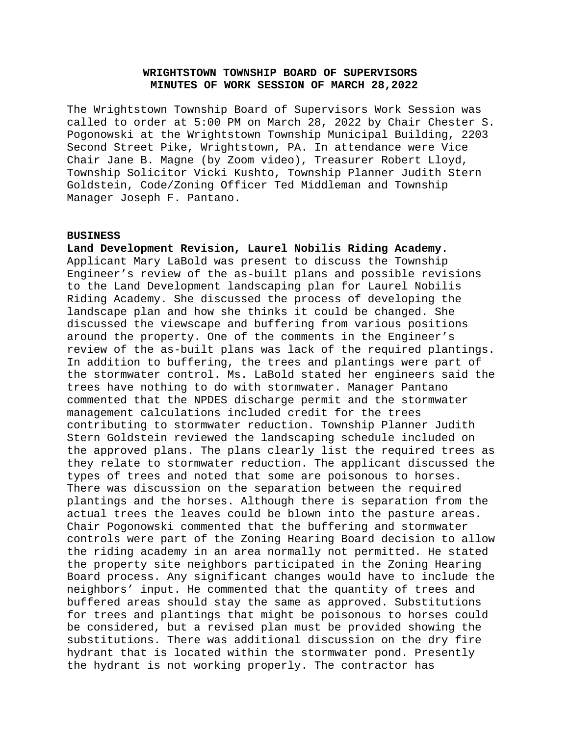# **WRIGHTSTOWN TOWNSHIP BOARD OF SUPERVISORS MINUTES OF WORK SESSION OF MARCH 28,2022**

The Wrightstown Township Board of Supervisors Work Session was called to order at 5:00 PM on March 28, 2022 by Chair Chester S. Pogonowski at the Wrightstown Township Municipal Building, 2203 Second Street Pike, Wrightstown, PA. In attendance were Vice Chair Jane B. Magne (by Zoom video), Treasurer Robert Lloyd, Township Solicitor Vicki Kushto, Township Planner Judith Stern Goldstein, Code/Zoning Officer Ted Middleman and Township Manager Joseph F. Pantano.

### **BUSINESS**

**Land Development Revision, Laurel Nobilis Riding Academy.**  Applicant Mary LaBold was present to discuss the Township Engineer's review of the as-built plans and possible revisions to the Land Development landscaping plan for Laurel Nobilis Riding Academy. She discussed the process of developing the landscape plan and how she thinks it could be changed. She discussed the viewscape and buffering from various positions around the property. One of the comments in the Engineer's review of the as-built plans was lack of the required plantings. In addition to buffering, the trees and plantings were part of the stormwater control. Ms. LaBold stated her engineers said the trees have nothing to do with stormwater. Manager Pantano commented that the NPDES discharge permit and the stormwater management calculations included credit for the trees contributing to stormwater reduction. Township Planner Judith Stern Goldstein reviewed the landscaping schedule included on the approved plans. The plans clearly list the required trees as they relate to stormwater reduction. The applicant discussed the types of trees and noted that some are poisonous to horses. There was discussion on the separation between the required plantings and the horses. Although there is separation from the actual trees the leaves could be blown into the pasture areas. Chair Pogonowski commented that the buffering and stormwater controls were part of the Zoning Hearing Board decision to allow the riding academy in an area normally not permitted. He stated the property site neighbors participated in the Zoning Hearing Board process. Any significant changes would have to include the neighbors' input. He commented that the quantity of trees and buffered areas should stay the same as approved. Substitutions for trees and plantings that might be poisonous to horses could be considered, but a revised plan must be provided showing the substitutions. There was additional discussion on the dry fire hydrant that is located within the stormwater pond. Presently the hydrant is not working properly. The contractor has